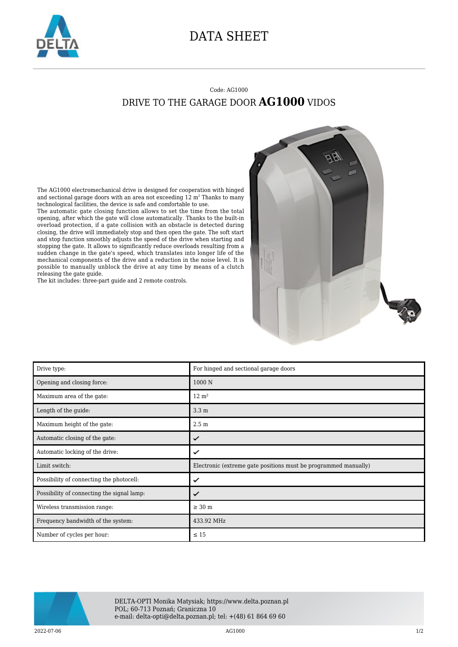

## DATA SHEET

## Code: AG1000 DRIVE TO THE GARAGE DOOR **AG1000** VIDOS

The AG1000 electromechanical drive is designed for cooperation with hinged and sectional garage doors with an area not exceeding 12  $\mathrm{m}^2$  Thanks to many technological facilities, the device is safe and comfortable to use.

The automatic gate closing function allows to set the time from the total opening, after which the gate will close automatically. Thanks to the built-in overload protection, if a gate collision with an obstacle is detected during closing, the drive will immediately stop and then open the gate. The soft start and stop function smoothly adjusts the speed of the drive when starting and stopping the gate. It allows to significantly reduce overloads resulting from a sudden change in the gate's speed, which translates into longer life of the mechanical components of the drive and a reduction in the noise level. It is possible to manually unblock the drive at any time by means of a clutch releasing the gate guide.

The kit includes: three-part guide and 2 remote controls.



| Drive type:                                | For hinged and sectional garage doors                           |
|--------------------------------------------|-----------------------------------------------------------------|
| Opening and closing force:                 | 1000N                                                           |
| Maximum area of the gate:                  | $12 \text{ m}^2$                                                |
| Length of the guide:                       | 3.3 <sub>m</sub>                                                |
| Maximum height of the gate:                | 2.5 <sub>m</sub>                                                |
| Automatic closing of the gate:             | ✓                                                               |
| Automatic locking of the drive:            |                                                                 |
| Limit switch:                              | Electronic (extreme gate positions must be programmed manually) |
| Possibility of connecting the photocell:   | ✓                                                               |
| Possibility of connecting the signal lamp: | ✓                                                               |
| Wireless transmission range:               | $\geq 30$ m                                                     |
| Frequency bandwidth of the system:         | 433.92 MHz                                                      |
| Number of cycles per hour:                 | $\leq 15$                                                       |